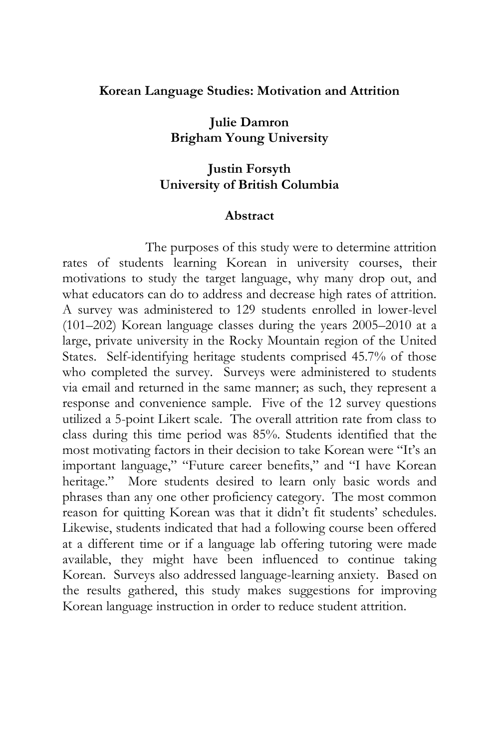#### **Korean Language Studies: Motivation and Attrition**

**Julie Damron Brigham Young University** 

#### **Justin Forsyth University of British Columbia**

#### **Abstract**

 The purposes of this study were to determine attrition rates of students learning Korean in university courses, their motivations to study the target language, why many drop out, and what educators can do to address and decrease high rates of attrition. A survey was administered to 129 students enrolled in lower-level (101–202) Korean language classes during the years 2005–2010 at a large, private university in the Rocky Mountain region of the United States. Self-identifying heritage students comprised 45.7% of those who completed the survey. Surveys were administered to students via email and returned in the same manner; as such, they represent a response and convenience sample. Five of the 12 survey questions utilized a 5-point Likert scale. The overall attrition rate from class to class during this time period was 85%. Students identified that the most motivating factors in their decision to take Korean were "It's an important language," "Future career benefits," and "I have Korean heritage." More students desired to learn only basic words and phrases than any one other proficiency category. The most common reason for quitting Korean was that it didn't fit students' schedules. Likewise, students indicated that had a following course been offered at a different time or if a language lab offering tutoring were made available, they might have been influenced to continue taking Korean. Surveys also addressed language-learning anxiety. Based on the results gathered, this study makes suggestions for improving Korean language instruction in order to reduce student attrition.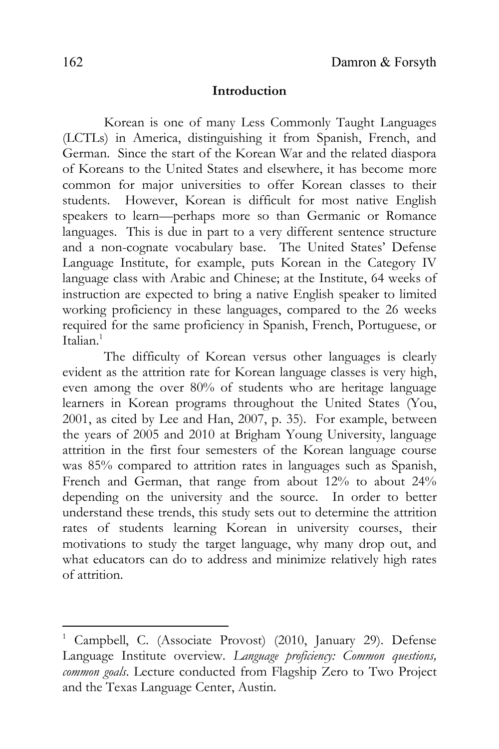#### **Introduction**

Korean is one of many Less Commonly Taught Languages (LCTLs) in America, distinguishing it from Spanish, French, and German. Since the start of the Korean War and the related diaspora of Koreans to the United States and elsewhere, it has become more common for major universities to offer Korean classes to their students. However, Korean is difficult for most native English speakers to learn—perhaps more so than Germanic or Romance languages. This is due in part to a very different sentence structure and a non-cognate vocabulary base. The United States' Defense Language Institute, for example, puts Korean in the Category IV language class with Arabic and Chinese; at the Institute, 64 weeks of instruction are expected to bring a native English speaker to limited working proficiency in these languages, compared to the 26 weeks required for the same proficiency in Spanish, French, Portuguese, or Italian $1$ 

The difficulty of Korean versus other languages is clearly evident as the attrition rate for Korean language classes is very high, even among the over 80% of students who are heritage language learners in Korean programs throughout the United States (You, 2001, as cited by Lee and Han, 2007, p. 35). For example, between the years of 2005 and 2010 at Brigham Young University, language attrition in the first four semesters of the Korean language course was 85% compared to attrition rates in languages such as Spanish, French and German, that range from about 12% to about 24% depending on the university and the source. In order to better understand these trends, this study sets out to determine the attrition rates of students learning Korean in university courses, their motivations to study the target language, why many drop out, and what educators can do to address and minimize relatively high rates of attrition.

 $\overline{\phantom{a}}$ 

<sup>1</sup> Campbell, C. (Associate Provost) (2010, January 29). Defense Language Institute overview. *Language proficiency: Common questions, common goals*. Lecture conducted from Flagship Zero to Two Project and the Texas Language Center, Austin.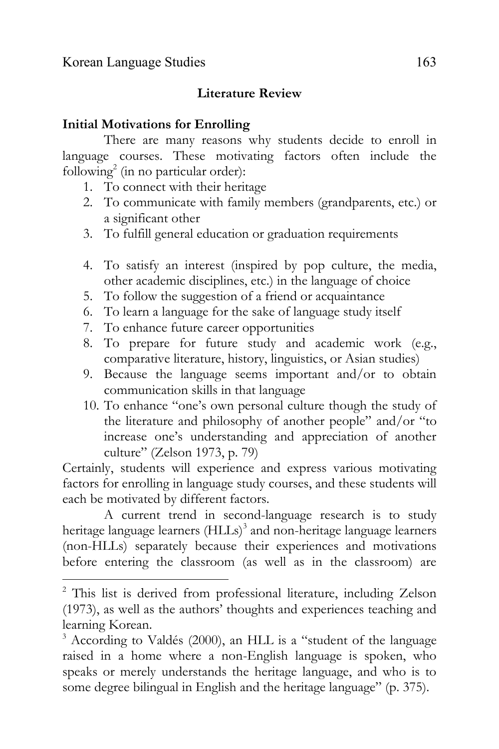$\overline{\phantom{a}}$ 

## **Literature Review**

#### **Initial Motivations for Enrolling**

There are many reasons why students decide to enroll in language courses. These motivating factors often include the following<sup>2</sup> (in no particular order):

- 1. To connect with their heritage
- 2. To communicate with family members (grandparents, etc.) or a significant other
- 3. To fulfill general education or graduation requirements
- 4. To satisfy an interest (inspired by pop culture, the media, other academic disciplines, etc.) in the language of choice
- 5. To follow the suggestion of a friend or acquaintance
- 6. To learn a language for the sake of language study itself
- 7. To enhance future career opportunities
- 8. To prepare for future study and academic work (e.g., comparative literature, history, linguistics, or Asian studies)
- 9. Because the language seems important and/or to obtain communication skills in that language
- 10. To enhance "one's own personal culture though the study of the literature and philosophy of another people" and/or "to increase one's understanding and appreciation of another culture" (Zelson 1973, p. 79)

Certainly, students will experience and express various motivating factors for enrolling in language study courses, and these students will each be motivated by different factors.

A current trend in second-language research is to study heritage language learners (HLLs)<sup>3</sup> and non-heritage language learners (non-HLLs) separately because their experiences and motivations before entering the classroom (as well as in the classroom) are

<sup>&</sup>lt;sup>2</sup> This list is derived from professional literature, including Zelson (1973), as well as the authors' thoughts and experiences teaching and learning Korean.

<sup>3</sup> According to Valdés (2000), an HLL is a "student of the language raised in a home where a non-English language is spoken, who speaks or merely understands the heritage language, and who is to some degree bilingual in English and the heritage language" (p. 375).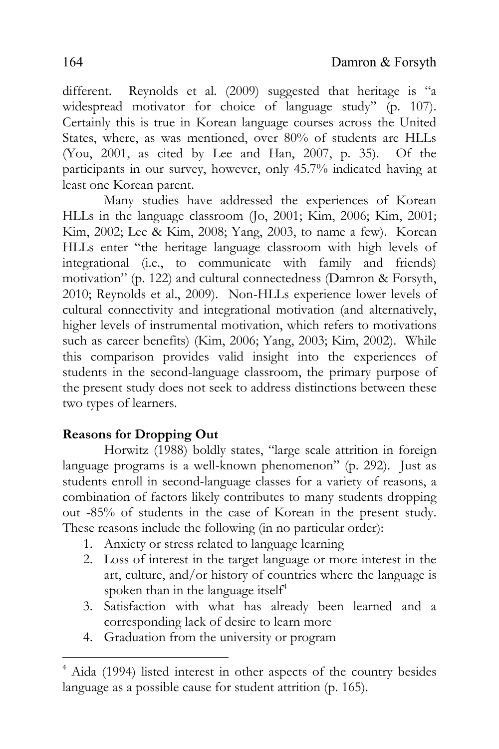different. Reynolds et al. (2009) suggested that heritage is "a widespread motivator for choice of language study" (p. 107). Certainly this is true in Korean language courses across the United States, where, as was mentioned, over 80% of students are HLLs (You, 2001, as cited by Lee and Han, 2007, p. 35). Of the participants in our survey, however, only 45.7% indicated having at least one Korean parent.

Many studies have addressed the experiences of Korean HLLs in the language classroom (Jo, 2001; Kim, 2006; Kim, 2001; Kim, 2002; Lee & Kim, 2008; Yang, 2003, to name a few). Korean HLLs enter "the heritage language classroom with high levels of integrational (i.e., to communicate with family and friends) motivation" (p. 122) and cultural connectedness (Damron & Forsyth, 2010; Reynolds et al., 2009). Non-HLLs experience lower levels of cultural connectivity and integrational motivation (and alternatively, higher levels of instrumental motivation, which refers to motivations such as career benefits) (Kim, 2006; Yang, 2003; Kim, 2002). While this comparison provides valid insight into the experiences of students in the second-language classroom, the primary purpose of the present study does not seek to address distinctions between these two types of learners.

# **Reasons for Dropping Out**

 $\overline{\phantom{a}}$ 

Horwitz (1988) boldly states, "large scale attrition in foreign language programs is a well-known phenomenon" (p. 292). Just as students enroll in second-language classes for a variety of reasons, a combination of factors likely contributes to many students dropping out -85% of students in the case of Korean in the present study. These reasons include the following (in no particular order):

- 1. Anxiety or stress related to language learning
- 2. Loss of interest in the target language or more interest in the art, culture, and/or history of countries where the language is spoken than in the language itself<sup>4</sup>
- 3. Satisfaction with what has already been learned and a corresponding lack of desire to learn more
- 4. Graduation from the university or program

<sup>4</sup> Aida (1994) listed interest in other aspects of the country besides language as a possible cause for student attrition (p. 165).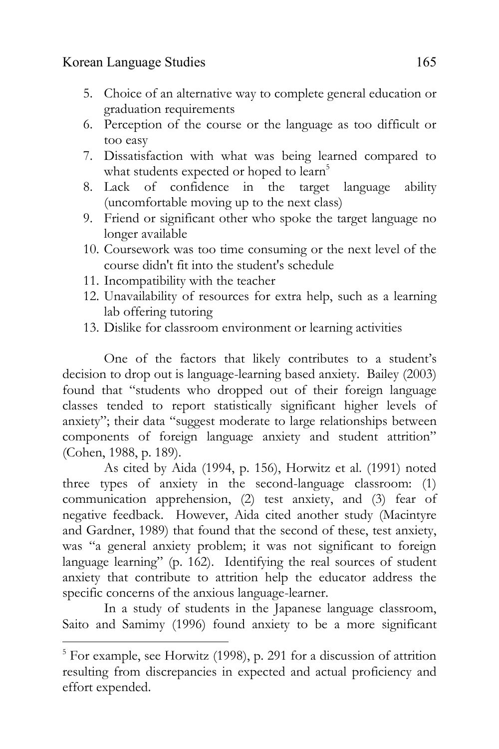- 5. Choice of an alternative way to complete general education or graduation requirements
- 6. Perception of the course or the language as too difficult or too easy
- 7. Dissatisfaction with what was being learned compared to what students expected or hoped to learn<sup>5</sup>
- 8. Lack of confidence in the target language ability (uncomfortable moving up to the next class)
- 9. Friend or significant other who spoke the target language no longer available
- 10. Coursework was too time consuming or the next level of the course didn't fit into the student's schedule
- 11. Incompatibility with the teacher
- 12. Unavailability of resources for extra help, such as a learning lab offering tutoring
- 13. Dislike for classroom environment or learning activities

One of the factors that likely contributes to a student's decision to drop out is language-learning based anxiety. Bailey (2003) found that "students who dropped out of their foreign language classes tended to report statistically significant higher levels of anxiety"; their data "suggest moderate to large relationships between components of foreign language anxiety and student attrition" (Cohen, 1988, p. 189).

As cited by Aida (1994, p. 156), Horwitz et al. (1991) noted three types of anxiety in the second-language classroom: (1) communication apprehension, (2) test anxiety, and (3) fear of negative feedback. However, Aida cited another study (Macintyre and Gardner, 1989) that found that the second of these, test anxiety, was "a general anxiety problem; it was not significant to foreign language learning" (p. 162). Identifying the real sources of student anxiety that contribute to attrition help the educator address the specific concerns of the anxious language-learner.

In a study of students in the Japanese language classroom, Saito and Samimy (1996) found anxiety to be a more significant

 $\overline{\phantom{a}}$ <sup>5</sup> For example, see Horwitz (1998), p. 291 for a discussion of attrition resulting from discrepancies in expected and actual proficiency and effort expended.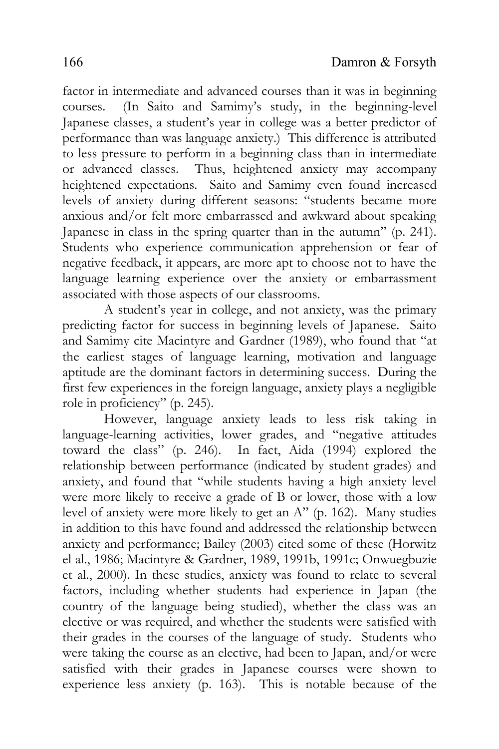factor in intermediate and advanced courses than it was in beginning courses. (In Saito and Samimy's study, in the beginning-level Japanese classes, a student's year in college was a better predictor of performance than was language anxiety.) This difference is attributed to less pressure to perform in a beginning class than in intermediate or advanced classes. Thus, heightened anxiety may accompany heightened expectations. Saito and Samimy even found increased levels of anxiety during different seasons: "students became more anxious and/or felt more embarrassed and awkward about speaking Japanese in class in the spring quarter than in the autumn" (p. 241). Students who experience communication apprehension or fear of negative feedback, it appears, are more apt to choose not to have the language learning experience over the anxiety or embarrassment associated with those aspects of our classrooms.

A student's year in college, and not anxiety, was the primary predicting factor for success in beginning levels of Japanese. Saito and Samimy cite Macintyre and Gardner (1989), who found that "at the earliest stages of language learning, motivation and language aptitude are the dominant factors in determining success. During the first few experiences in the foreign language, anxiety plays a negligible role in proficiency" (p. 245).

However, language anxiety leads to less risk taking in language-learning activities, lower grades, and "negative attitudes toward the class" (p. 246). In fact, Aida (1994) explored the relationship between performance (indicated by student grades) and anxiety, and found that "while students having a high anxiety level were more likely to receive a grade of B or lower, those with a low level of anxiety were more likely to get an A" (p. 162). Many studies in addition to this have found and addressed the relationship between anxiety and performance; Bailey (2003) cited some of these (Horwitz el al., 1986; Macintyre & Gardner, 1989, 1991b, 1991c; Onwuegbuzie et al., 2000). In these studies, anxiety was found to relate to several factors, including whether students had experience in Japan (the country of the language being studied), whether the class was an elective or was required, and whether the students were satisfied with their grades in the courses of the language of study. Students who were taking the course as an elective, had been to Japan, and/or were satisfied with their grades in Japanese courses were shown to experience less anxiety (p. 163). This is notable because of the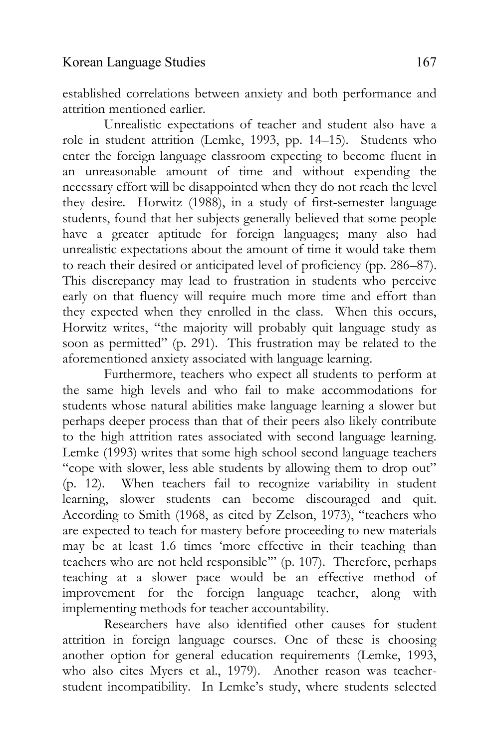established correlations between anxiety and both performance and attrition mentioned earlier.

Unrealistic expectations of teacher and student also have a role in student attrition (Lemke, 1993, pp. 14–15). Students who enter the foreign language classroom expecting to become fluent in an unreasonable amount of time and without expending the necessary effort will be disappointed when they do not reach the level they desire. Horwitz (1988), in a study of first-semester language students, found that her subjects generally believed that some people have a greater aptitude for foreign languages; many also had unrealistic expectations about the amount of time it would take them to reach their desired or anticipated level of proficiency (pp. 286–87). This discrepancy may lead to frustration in students who perceive early on that fluency will require much more time and effort than they expected when they enrolled in the class. When this occurs, Horwitz writes, "the majority will probably quit language study as soon as permitted" (p. 291). This frustration may be related to the aforementioned anxiety associated with language learning.

Furthermore, teachers who expect all students to perform at the same high levels and who fail to make accommodations for students whose natural abilities make language learning a slower but perhaps deeper process than that of their peers also likely contribute to the high attrition rates associated with second language learning. Lemke (1993) writes that some high school second language teachers "cope with slower, less able students by allowing them to drop out" (p. 12). When teachers fail to recognize variability in student learning, slower students can become discouraged and quit. According to Smith (1968, as cited by Zelson, 1973), "teachers who are expected to teach for mastery before proceeding to new materials may be at least 1.6 times 'more effective in their teaching than teachers who are not held responsible'" (p. 107). Therefore, perhaps teaching at a slower pace would be an effective method of improvement for the foreign language teacher, along with implementing methods for teacher accountability.

Researchers have also identified other causes for student attrition in foreign language courses. One of these is choosing another option for general education requirements (Lemke, 1993, who also cites Myers et al., 1979). Another reason was teacherstudent incompatibility. In Lemke's study, where students selected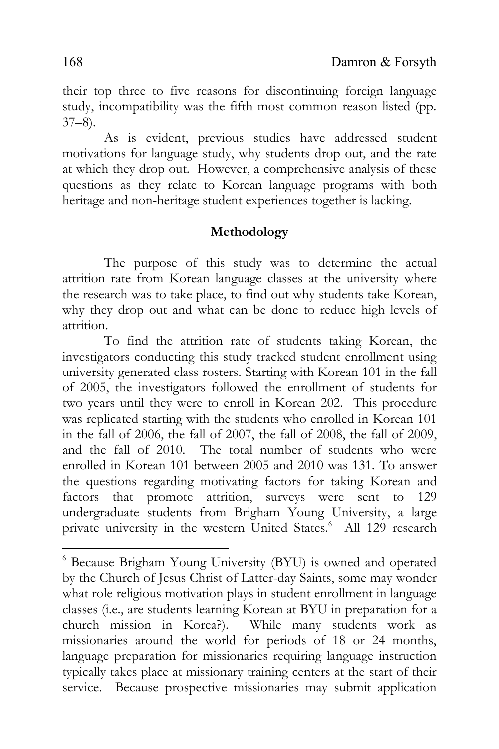their top three to five reasons for discontinuing foreign language study, incompatibility was the fifth most common reason listed (pp.  $37-8$ ).

As is evident, previous studies have addressed student motivations for language study, why students drop out, and the rate at which they drop out. However, a comprehensive analysis of these questions as they relate to Korean language programs with both heritage and non-heritage student experiences together is lacking.

## **Methodology**

The purpose of this study was to determine the actual attrition rate from Korean language classes at the university where the research was to take place, to find out why students take Korean, why they drop out and what can be done to reduce high levels of attrition.

To find the attrition rate of students taking Korean, the investigators conducting this study tracked student enrollment using university generated class rosters. Starting with Korean 101 in the fall of 2005, the investigators followed the enrollment of students for two years until they were to enroll in Korean 202. This procedure was replicated starting with the students who enrolled in Korean 101 in the fall of 2006, the fall of 2007, the fall of 2008, the fall of 2009, and the fall of 2010. The total number of students who were enrolled in Korean 101 between 2005 and 2010 was 131. To answer the questions regarding motivating factors for taking Korean and factors that promote attrition, surveys were sent to 129 undergraduate students from Brigham Young University, a large private university in the western United States.<sup>6</sup> All 129 research

 $\overline{\phantom{a}}$ 

<sup>6</sup> Because Brigham Young University (BYU) is owned and operated by the Church of Jesus Christ of Latter-day Saints, some may wonder what role religious motivation plays in student enrollment in language classes (i.e., are students learning Korean at BYU in preparation for a church mission in Korea?). While many students work as missionaries around the world for periods of 18 or 24 months, language preparation for missionaries requiring language instruction typically takes place at missionary training centers at the start of their service. Because prospective missionaries may submit application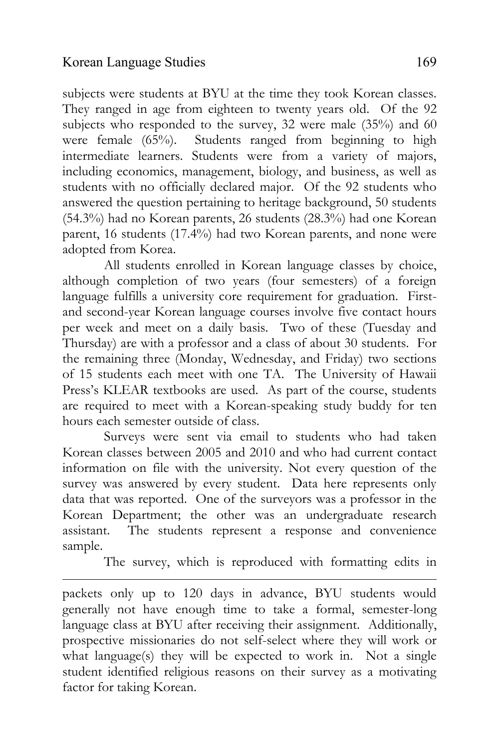$\overline{\phantom{a}}$ 

subjects were students at BYU at the time they took Korean classes. They ranged in age from eighteen to twenty years old. Of the 92 subjects who responded to the survey, 32 were male (35%) and 60 were female (65%). Students ranged from beginning to high intermediate learners. Students were from a variety of majors, including economics, management, biology, and business, as well as students with no officially declared major. Of the 92 students who answered the question pertaining to heritage background, 50 students (54.3%) had no Korean parents, 26 students (28.3%) had one Korean parent, 16 students (17.4%) had two Korean parents, and none were adopted from Korea.

All students enrolled in Korean language classes by choice, although completion of two years (four semesters) of a foreign language fulfills a university core requirement for graduation. Firstand second-year Korean language courses involve five contact hours per week and meet on a daily basis. Two of these (Tuesday and Thursday) are with a professor and a class of about 30 students. For the remaining three (Monday, Wednesday, and Friday) two sections of 15 students each meet with one TA. The University of Hawaii Press's KLEAR textbooks are used. As part of the course, students are required to meet with a Korean-speaking study buddy for ten hours each semester outside of class.

Surveys were sent via email to students who had taken Korean classes between 2005 and 2010 and who had current contact information on file with the university. Not every question of the survey was answered by every student. Data here represents only data that was reported. One of the surveyors was a professor in the Korean Department; the other was an undergraduate research assistant. The students represent a response and convenience sample.

The survey, which is reproduced with formatting edits in

packets only up to 120 days in advance, BYU students would generally not have enough time to take a formal, semester-long language class at BYU after receiving their assignment. Additionally, prospective missionaries do not self-select where they will work or what language(s) they will be expected to work in. Not a single student identified religious reasons on their survey as a motivating factor for taking Korean.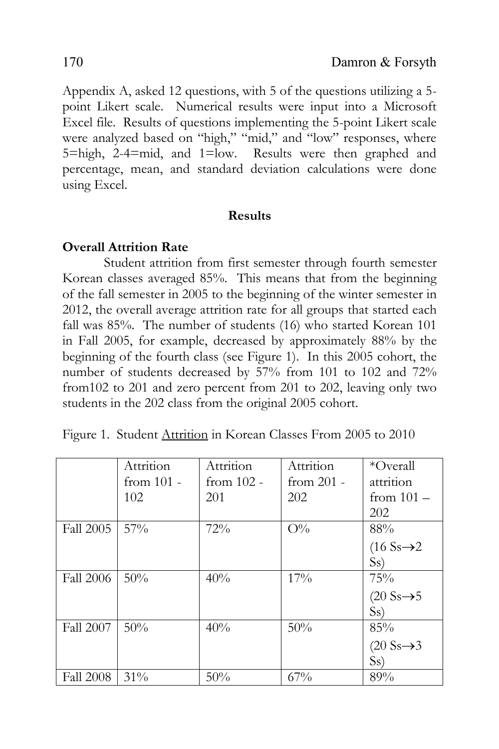Appendix A, asked 12 questions, with 5 of the questions utilizing a 5 point Likert scale. Numerical results were input into a Microsoft Excel file. Results of questions implementing the 5-point Likert scale were analyzed based on "high," "mid," and "low" responses, where 5=high, 2-4=mid, and 1=low. Results were then graphed and percentage, mean, and standard deviation calculations were done using Excel.

#### **Results**

## **Overall Attrition Rate**

Student attrition from first semester through fourth semester Korean classes averaged 85%. This means that from the beginning of the fall semester in 2005 to the beginning of the winter semester in 2012, the overall average attrition rate for all groups that started each fall was 85%. The number of students (16) who started Korean 101 in Fall 2005, for example, decreased by approximately 88% by the beginning of the fourth class (see Figure 1). In this 2005 cohort, the number of students decreased by 57% from 101 to 102 and 72% from102 to 201 and zero percent from 201 to 202, leaving only two students in the 202 class from the original 2005 cohort.

|  | Figure 1. Student Attrition in Korean Classes From 2005 to 2010 |  |  |  |  |  |
|--|-----------------------------------------------------------------|--|--|--|--|--|
|--|-----------------------------------------------------------------|--|--|--|--|--|

|                  | Attrition    | Attrition    | Attrition    | *Overall                        |
|------------------|--------------|--------------|--------------|---------------------------------|
|                  | from $101 -$ | from $102 -$ | from $201 -$ | attrition                       |
|                  | 102          | 201          | 202          | from $101 -$                    |
|                  |              |              |              | 202                             |
| <b>Fall 2005</b> | $57\%$       | 72%          | $O\%$        | 88%                             |
|                  |              |              |              | $(16$ Ss $\rightarrow$ 2        |
|                  |              |              |              | S <sub>s</sub>                  |
| <b>Fall 2006</b> | 50%          | 40%          | 17%          | 75%                             |
|                  |              |              |              | $(20 \text{ Ss} \rightarrow 5)$ |
|                  |              |              |              | S <sub>s</sub>                  |
| <b>Fall 2007</b> | 50%          | 40%          | 50%          | 85%                             |
|                  |              |              |              | $(20 \text{ Ss} \rightarrow 3)$ |
|                  |              |              |              | S <sub>S</sub>                  |
| <b>Fall 2008</b> | $31\%$       | 50%          | 67%          | 89%                             |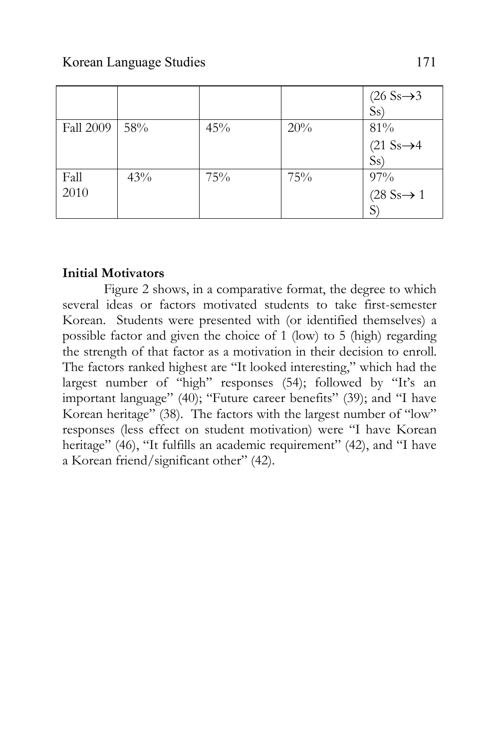|                  |     |     |     | $(26 Ss \rightarrow 3)$ |
|------------------|-----|-----|-----|-------------------------|
|                  |     |     |     | S <sub>S</sub>          |
| <b>Fall 2009</b> | 58% | 45% | 20% | 81%                     |
|                  |     |     |     | $(21 Ss \rightarrow 4$  |
|                  |     |     |     | S <sub>S</sub>          |
| Fall             | 43% | 75% | 75% | 97%                     |
| 2010             |     |     |     | $(28 Ss \rightarrow 1)$ |
|                  |     |     |     |                         |

## **Initial Motivators**

Figure 2 shows, in a comparative format, the degree to which several ideas or factors motivated students to take first-semester Korean. Students were presented with (or identified themselves) a possible factor and given the choice of 1 (low) to 5 (high) regarding the strength of that factor as a motivation in their decision to enroll. The factors ranked highest are "It looked interesting," which had the largest number of "high" responses (54); followed by "It's an important language" (40); "Future career benefits" (39); and "I have Korean heritage" (38). The factors with the largest number of "low" responses (less effect on student motivation) were "I have Korean heritage" (46), "It fulfills an academic requirement" (42), and "I have a Korean friend/significant other" (42).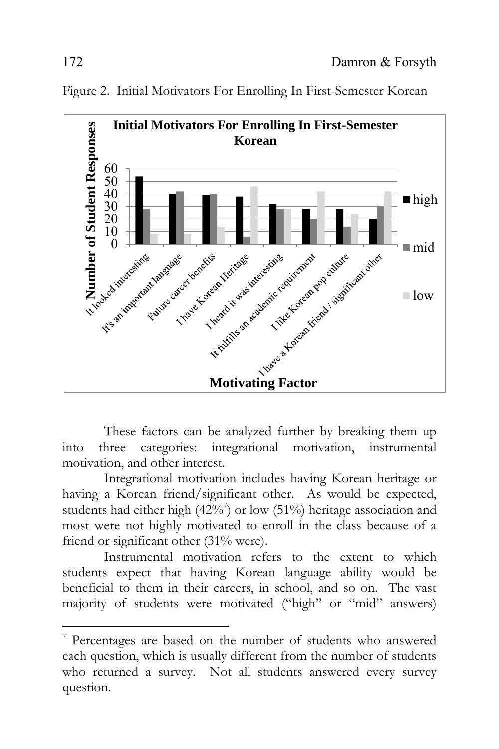

Figure 2. Initial Motivators For Enrolling In First-Semester Korean

These factors can be analyzed further by breaking them up into three categories: integrational motivation, instrumental motivation, and other interest.

Integrational motivation includes having Korean heritage or having a Korean friend/significant other. As would be expected, students had either high  $(42\%)$ <sup>7</sup> or low  $(51\%)$  heritage association and most were not highly motivated to enroll in the class because of a friend or significant other (31% were).

Instrumental motivation refers to the extent to which students expect that having Korean language ability would be beneficial to them in their careers, in school, and so on. The vast majority of students were motivated ("high" or "mid" answers)

 $\overline{\phantom{a}}$ 

<sup>7</sup> Percentages are based on the number of students who answered each question, which is usually different from the number of students who returned a survey. Not all students answered every survey question.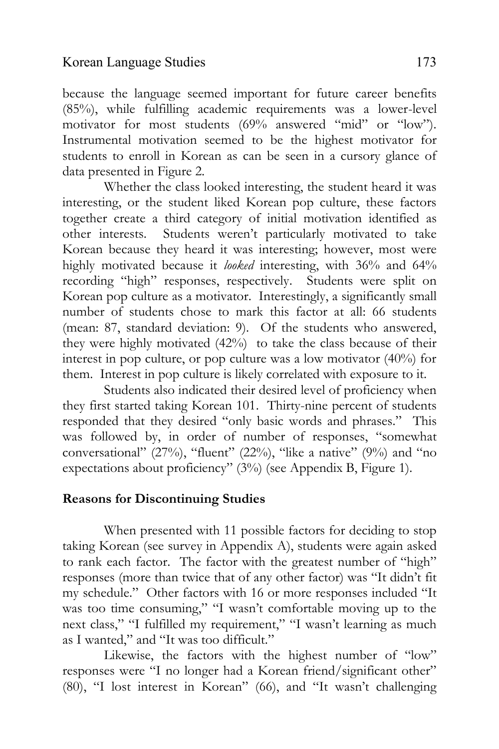because the language seemed important for future career benefits (85%), while fulfilling academic requirements was a lower-level motivator for most students (69% answered "mid" or "low"). Instrumental motivation seemed to be the highest motivator for students to enroll in Korean as can be seen in a cursory glance of data presented in Figure 2.

Whether the class looked interesting, the student heard it was interesting, or the student liked Korean pop culture, these factors together create a third category of initial motivation identified as other interests. Students weren't particularly motivated to take Korean because they heard it was interesting; however, most were highly motivated because it *looked* interesting, with 36% and 64% recording "high" responses, respectively. Students were split on Korean pop culture as a motivator. Interestingly, a significantly small number of students chose to mark this factor at all: 66 students (mean: 87, standard deviation: 9). Of the students who answered, they were highly motivated (42%) to take the class because of their interest in pop culture, or pop culture was a low motivator (40%) for them. Interest in pop culture is likely correlated with exposure to it.

Students also indicated their desired level of proficiency when they first started taking Korean 101. Thirty-nine percent of students responded that they desired "only basic words and phrases." This was followed by, in order of number of responses, "somewhat conversational" (27%), "fluent" (22%), "like a native" (9%) and "no expectations about proficiency" (3%) (see Appendix B, Figure 1).

# **Reasons for Discontinuing Studies**

When presented with 11 possible factors for deciding to stop taking Korean (see survey in Appendix A), students were again asked to rank each factor. The factor with the greatest number of "high" responses (more than twice that of any other factor) was "It didn't fit my schedule." Other factors with 16 or more responses included "It was too time consuming," "I wasn't comfortable moving up to the next class," "I fulfilled my requirement," "I wasn't learning as much as I wanted," and "It was too difficult."

Likewise, the factors with the highest number of "low" responses were "I no longer had a Korean friend/significant other" (80), "I lost interest in Korean" (66), and "It wasn't challenging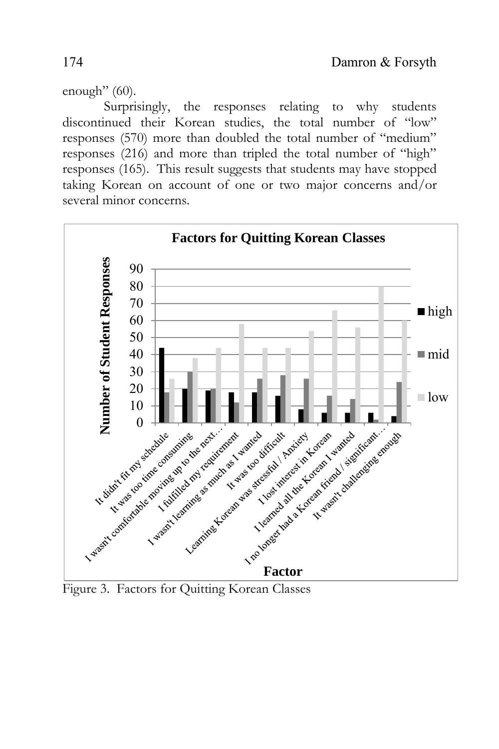enough"  $(60)$ .

Surprisingly, the responses relating to why students discontinued their Korean studies, the total number of "low" responses (570) more than doubled the total number of "medium" responses (216) and more than tripled the total number of "high" responses (165). This result suggests that students may have stopped taking Korean on account of one or two major concerns and/or several minor concerns.



Figure 3. Factors for Quitting Korean Classes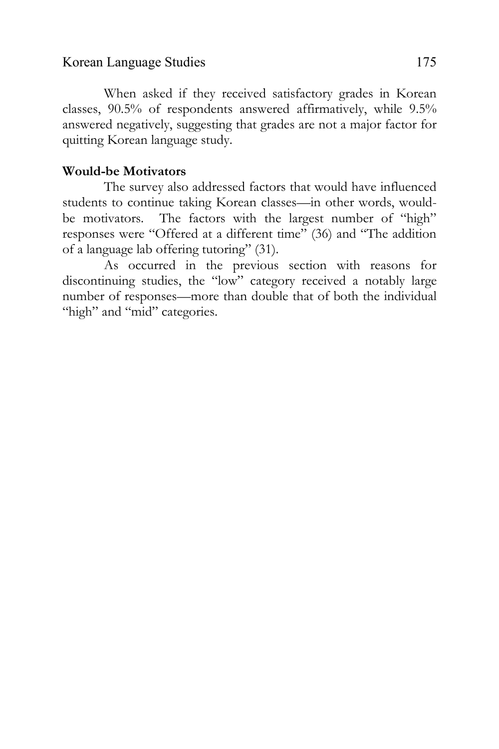#### Korean Language Studies 175

When asked if they received satisfactory grades in Korean classes, 90.5% of respondents answered affirmatively, while 9.5% answered negatively, suggesting that grades are not a major factor for quitting Korean language study.

## **Would-be Motivators**

The survey also addressed factors that would have influenced students to continue taking Korean classes—in other words, wouldbe motivators. The factors with the largest number of "high" responses were "Offered at a different time" (36) and "The addition of a language lab offering tutoring" (31).

As occurred in the previous section with reasons for discontinuing studies, the "low" category received a notably large number of responses—more than double that of both the individual "high" and "mid" categories.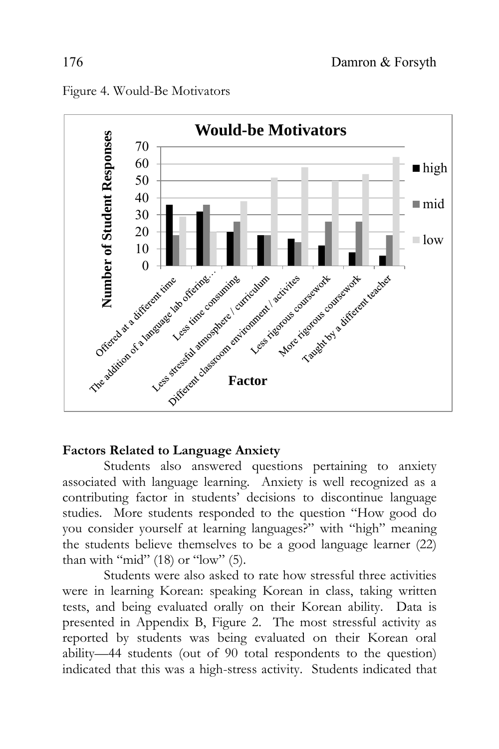

#### Figure 4. Would-Be Motivators

#### **Factors Related to Language Anxiety**

Students also answered questions pertaining to anxiety associated with language learning. Anxiety is well recognized as a contributing factor in students' decisions to discontinue language studies. More students responded to the question "How good do you consider yourself at learning languages?" with "high" meaning the students believe themselves to be a good language learner (22) than with "mid" (18) or "low" (5).

Students were also asked to rate how stressful three activities were in learning Korean: speaking Korean in class, taking written tests, and being evaluated orally on their Korean ability. Data is presented in Appendix B, Figure 2. The most stressful activity as reported by students was being evaluated on their Korean oral ability—44 students (out of 90 total respondents to the question) indicated that this was a high-stress activity. Students indicated that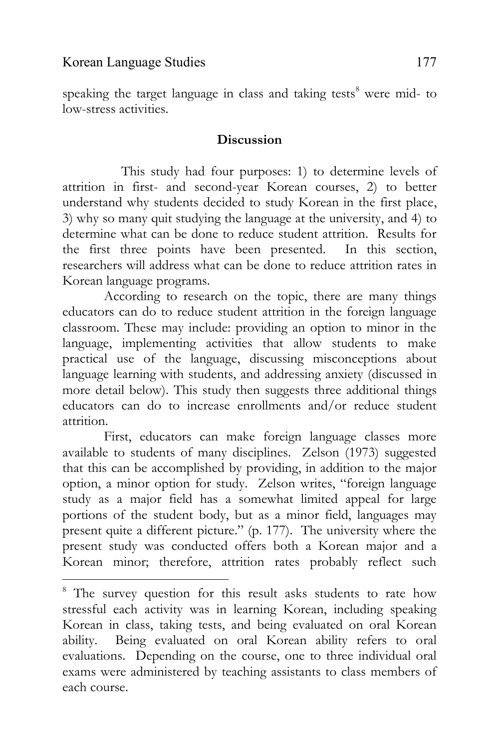$\overline{\phantom{a}}$ 

speaking the target language in class and taking tests<sup>8</sup> were mid- to low-stress activities.

## **Discussion**

This study had four purposes: 1) to determine levels of attrition in first- and second-year Korean courses, 2) to better understand why students decided to study Korean in the first place, 3) why so many quit studying the language at the university, and 4) to determine what can be done to reduce student attrition. Results for the first three points have been presented. In this section, researchers will address what can be done to reduce attrition rates in Korean language programs.

According to research on the topic, there are many things educators can do to reduce student attrition in the foreign language classroom. These may include: providing an option to minor in the language, implementing activities that allow students to make practical use of the language, discussing misconceptions about language learning with students, and addressing anxiety (discussed in more detail below). This study then suggests three additional things educators can do to increase enrollments and/or reduce student attrition.

First, educators can make foreign language classes more available to students of many disciplines. Zelson (1973) suggested that this can be accomplished by providing, in addition to the major option, a minor option for study. Zelson writes, "foreign language study as a major field has a somewhat limited appeal for large portions of the student body, but as a minor field, languages may present quite a different picture." (p. 177). The university where the present study was conducted offers both a Korean major and a Korean minor; therefore, attrition rates probably reflect such

<sup>&</sup>lt;sup>8</sup> The survey question for this result asks students to rate how stressful each activity was in learning Korean, including speaking Korean in class, taking tests, and being evaluated on oral Korean ability. Being evaluated on oral Korean ability refers to oral evaluations. Depending on the course, one to three individual oral exams were administered by teaching assistants to class members of each course.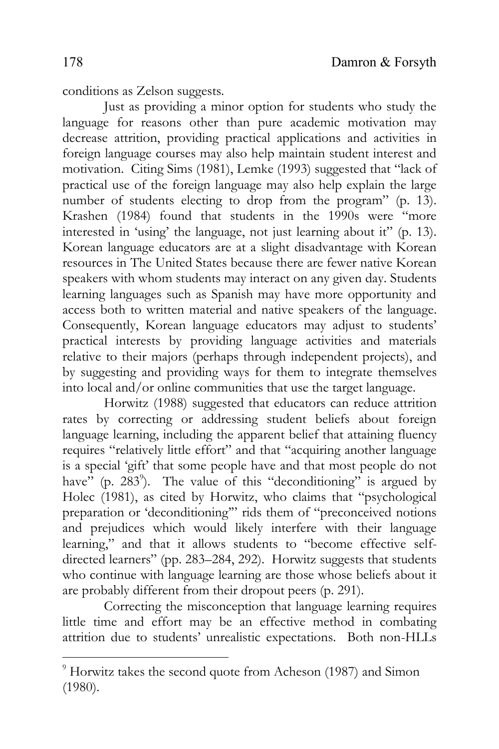conditions as Zelson suggests.

Just as providing a minor option for students who study the language for reasons other than pure academic motivation may decrease attrition, providing practical applications and activities in foreign language courses may also help maintain student interest and motivation. Citing Sims (1981), Lemke (1993) suggested that "lack of practical use of the foreign language may also help explain the large number of students electing to drop from the program" (p. 13). Krashen (1984) found that students in the 1990s were "more interested in 'using' the language, not just learning about it" (p. 13). Korean language educators are at a slight disadvantage with Korean resources in The United States because there are fewer native Korean speakers with whom students may interact on any given day. Students learning languages such as Spanish may have more opportunity and access both to written material and native speakers of the language. Consequently, Korean language educators may adjust to students' practical interests by providing language activities and materials relative to their majors (perhaps through independent projects), and by suggesting and providing ways for them to integrate themselves into local and/or online communities that use the target language.

Horwitz (1988) suggested that educators can reduce attrition rates by correcting or addressing student beliefs about foreign language learning, including the apparent belief that attaining fluency requires "relatively little effort" and that "acquiring another language is a special 'gift' that some people have and that most people do not have" (p. 283<sup>9</sup>). The value of this "deconditioning" is argued by Holec (1981), as cited by Horwitz, who claims that "psychological preparation or 'deconditioning'" rids them of "preconceived notions and prejudices which would likely interfere with their language learning," and that it allows students to "become effective selfdirected learners" (pp. 283–284, 292). Horwitz suggests that students who continue with language learning are those whose beliefs about it are probably different from their dropout peers (p. 291).

Correcting the misconception that language learning requires little time and effort may be an effective method in combating attrition due to students' unrealistic expectations. Both non-HLLs

 $\overline{\phantom{a}}$ 

<sup>&</sup>lt;sup>9</sup> Horwitz takes the second quote from Acheson (1987) and Simon (1980).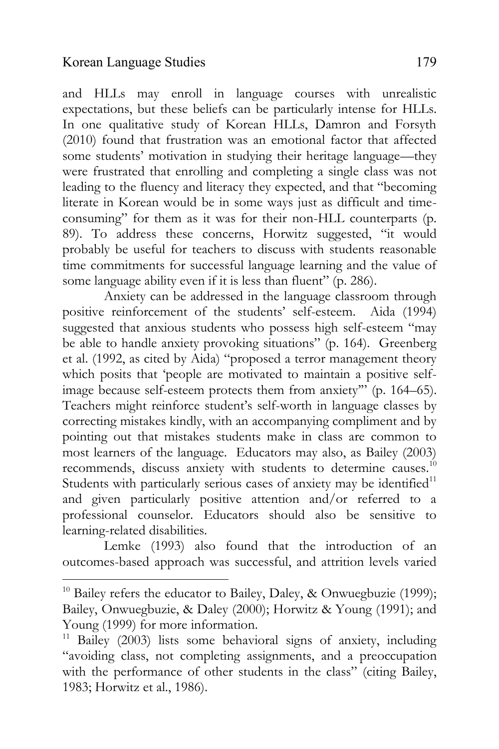$\overline{\phantom{a}}$ 

and HLLs may enroll in language courses with unrealistic expectations, but these beliefs can be particularly intense for HLLs. In one qualitative study of Korean HLLs, Damron and Forsyth (2010) found that frustration was an emotional factor that affected some students' motivation in studying their heritage language—they were frustrated that enrolling and completing a single class was not leading to the fluency and literacy they expected, and that "becoming literate in Korean would be in some ways just as difficult and timeconsuming" for them as it was for their non-HLL counterparts (p. 89). To address these concerns, Horwitz suggested, "it would probably be useful for teachers to discuss with students reasonable time commitments for successful language learning and the value of some language ability even if it is less than fluent" (p. 286).

Anxiety can be addressed in the language classroom through positive reinforcement of the students' self-esteem. Aida (1994) suggested that anxious students who possess high self-esteem "may be able to handle anxiety provoking situations" (p. 164). Greenberg et al. (1992, as cited by Aida) "proposed a terror management theory which posits that 'people are motivated to maintain a positive selfimage because self-esteem protects them from anxiety'" (p. 164–65). Teachers might reinforce student's self-worth in language classes by correcting mistakes kindly, with an accompanying compliment and by pointing out that mistakes students make in class are common to most learners of the language. Educators may also, as Bailey (2003) recommends, discuss anxiety with students to determine causes. $10$ Students with particularly serious cases of anxiety may be identified<sup>11</sup> and given particularly positive attention and/or referred to a professional counselor. Educators should also be sensitive to learning-related disabilities.

Lemke (1993) also found that the introduction of an outcomes-based approach was successful, and attrition levels varied

<sup>&</sup>lt;sup>10</sup> Bailey refers the educator to Bailey, Daley, & Onwuegbuzie (1999); Bailey, Onwuegbuzie, & Daley (2000); Horwitz & Young (1991); and Young (1999) for more information.

 $11$  Bailey (2003) lists some behavioral signs of anxiety, including "avoiding class, not completing assignments, and a preoccupation with the performance of other students in the class" (citing Bailey, 1983; Horwitz et al., 1986).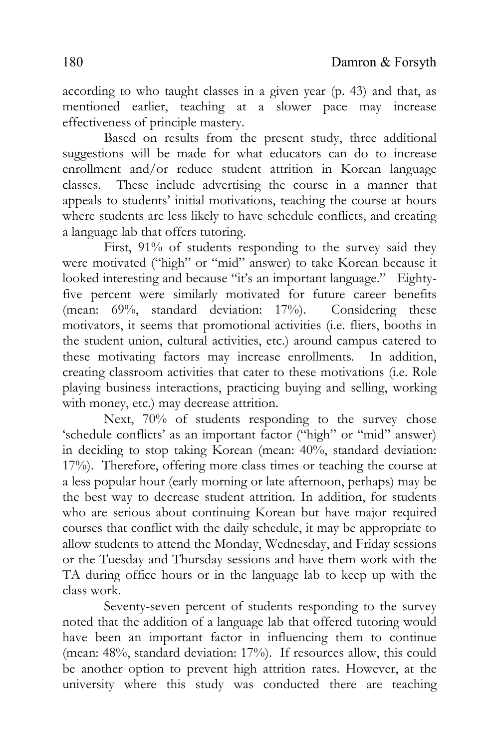according to who taught classes in a given year (p. 43) and that, as mentioned earlier, teaching at a slower pace may increase effectiveness of principle mastery.

Based on results from the present study, three additional suggestions will be made for what educators can do to increase enrollment and/or reduce student attrition in Korean language classes. These include advertising the course in a manner that appeals to students' initial motivations, teaching the course at hours where students are less likely to have schedule conflicts, and creating a language lab that offers tutoring.

First, 91% of students responding to the survey said they were motivated ("high" or "mid" answer) to take Korean because it looked interesting and because "it's an important language." Eightyfive percent were similarly motivated for future career benefits (mean: 69%, standard deviation: 17%). Considering these motivators, it seems that promotional activities (i.e. fliers, booths in the student union, cultural activities, etc.) around campus catered to these motivating factors may increase enrollments. In addition, creating classroom activities that cater to these motivations (i.e. Role playing business interactions, practicing buying and selling, working with money, etc.) may decrease attrition.

Next, 70% of students responding to the survey chose 'schedule conflicts' as an important factor ("high" or "mid" answer) in deciding to stop taking Korean (mean: 40%, standard deviation: 17%). Therefore, offering more class times or teaching the course at a less popular hour (early morning or late afternoon, perhaps) may be the best way to decrease student attrition. In addition, for students who are serious about continuing Korean but have major required courses that conflict with the daily schedule, it may be appropriate to allow students to attend the Monday, Wednesday, and Friday sessions or the Tuesday and Thursday sessions and have them work with the TA during office hours or in the language lab to keep up with the class work.

Seventy-seven percent of students responding to the survey noted that the addition of a language lab that offered tutoring would have been an important factor in influencing them to continue (mean: 48%, standard deviation: 17%). If resources allow, this could be another option to prevent high attrition rates. However, at the university where this study was conducted there are teaching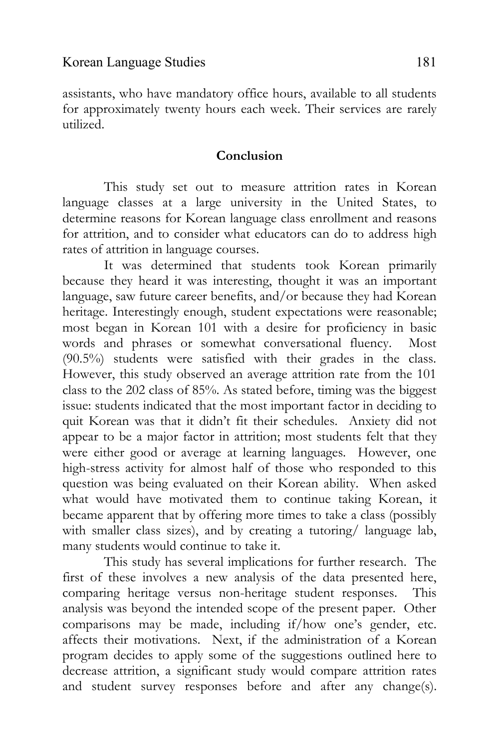assistants, who have mandatory office hours, available to all students for approximately twenty hours each week. Their services are rarely utilized.

#### **Conclusion**

This study set out to measure attrition rates in Korean language classes at a large university in the United States, to determine reasons for Korean language class enrollment and reasons for attrition, and to consider what educators can do to address high rates of attrition in language courses.

It was determined that students took Korean primarily because they heard it was interesting, thought it was an important language, saw future career benefits, and/or because they had Korean heritage. Interestingly enough, student expectations were reasonable; most began in Korean 101 with a desire for proficiency in basic words and phrases or somewhat conversational fluency. Most (90.5%) students were satisfied with their grades in the class. However, this study observed an average attrition rate from the 101 class to the 202 class of 85%. As stated before, timing was the biggest issue: students indicated that the most important factor in deciding to quit Korean was that it didn't fit their schedules. Anxiety did not appear to be a major factor in attrition; most students felt that they were either good or average at learning languages. However, one high-stress activity for almost half of those who responded to this question was being evaluated on their Korean ability. When asked what would have motivated them to continue taking Korean, it became apparent that by offering more times to take a class (possibly with smaller class sizes), and by creating a tutoring/ language lab, many students would continue to take it.

This study has several implications for further research. The first of these involves a new analysis of the data presented here, comparing heritage versus non-heritage student responses. This analysis was beyond the intended scope of the present paper. Other comparisons may be made, including if/how one's gender, etc. affects their motivations. Next, if the administration of a Korean program decides to apply some of the suggestions outlined here to decrease attrition, a significant study would compare attrition rates and student survey responses before and after any change(s).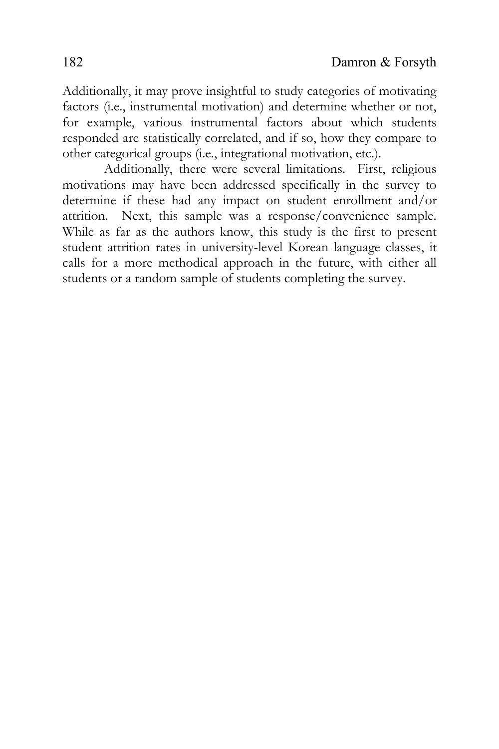Additionally, it may prove insightful to study categories of motivating factors (i.e., instrumental motivation) and determine whether or not, for example, various instrumental factors about which students responded are statistically correlated, and if so, how they compare to other categorical groups (i.e., integrational motivation, etc.).

Additionally, there were several limitations. First, religious motivations may have been addressed specifically in the survey to determine if these had any impact on student enrollment and/or attrition. Next, this sample was a response/convenience sample. While as far as the authors know, this study is the first to present student attrition rates in university-level Korean language classes, it calls for a more methodical approach in the future, with either all students or a random sample of students completing the survey.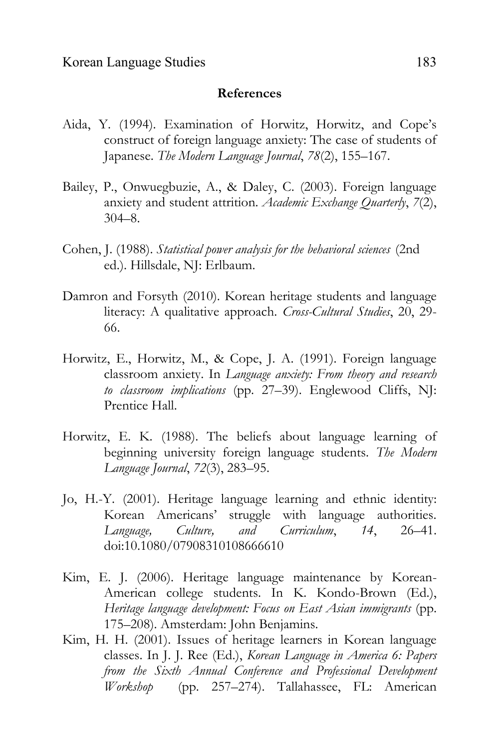#### **References**

- Aida, Y. (1994). Examination of Horwitz, Horwitz, and Cope's construct of foreign language anxiety: The case of students of Japanese. *The Modern Language Journal*, *78*(2), 155–167.
- Bailey, P., Onwuegbuzie, A., & Daley, C. (2003). Foreign language anxiety and student attrition. *Academic Exchange Quarterly*, *7*(2), 304–8.
- Cohen, J. (1988). *Statistical power analysis for the behavioral sciences* (2nd ed.). Hillsdale, NJ: Erlbaum.
- Damron and Forsyth (2010). Korean heritage students and language literacy: A qualitative approach. *Cross-Cultural Studies*, 20, 29- 66.
- Horwitz, E., Horwitz, M., & Cope, J. A. (1991). Foreign language classroom anxiety. In *Language anxiety: From theory and research to classroom implications* (pp. 27–39). Englewood Cliffs, NJ: Prentice Hall.
- Horwitz, E. K. (1988). The beliefs about language learning of beginning university foreign language students. *The Modern Language Journal*, *72*(3), 283–95.
- Jo, H.-Y. (2001). Heritage language learning and ethnic identity: Korean Americans' struggle with language authorities. *Language, Culture, and Curriculum*, *14*, 26–41. doi:10.1080/07908310108666610
- Kim, E. J. (2006). Heritage language maintenance by Korean-American college students. In K. Kondo-Brown (Ed.), *Heritage language development: Focus on East Asian immigrants* (pp. 175–208). Amsterdam: John Benjamins.
- Kim, H. H. (2001). Issues of heritage learners in Korean language classes. In J. J. Ree (Ed.), *Korean Language in America 6: Papers from the Sixth Annual Conference and Professional Development Workshop* (pp. 257–274). Tallahassee, FL: American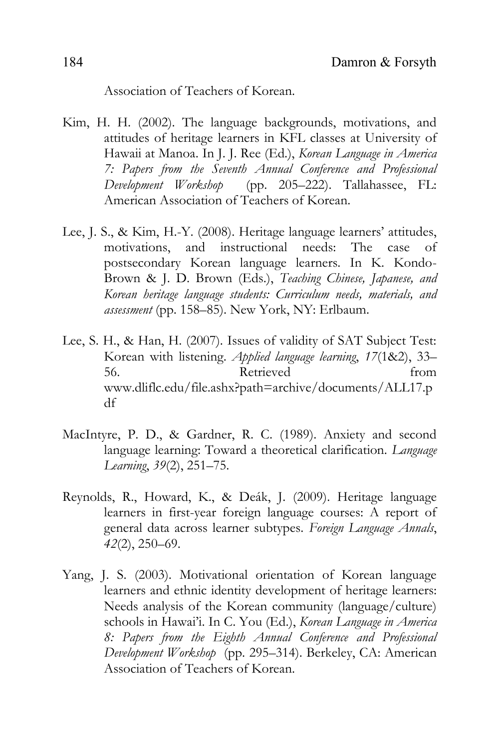Association of Teachers of Korean.

- Kim, H. H. (2002). The language backgrounds, motivations, and attitudes of heritage learners in KFL classes at University of Hawaii at Manoa. In J. J. Ree (Ed.), *Korean Language in America 7: Papers from the Seventh Annual Conference and Professional Development Workshop* (pp. 205–222). Tallahassee, FL: American Association of Teachers of Korean.
- Lee, J. S., & Kim, H.-Y. (2008). Heritage language learners' attitudes, motivations, and instructional needs: The case of postsecondary Korean language learners. In K. Kondo-Brown & J. D. Brown (Eds.), *Teaching Chinese, Japanese, and Korean heritage language students: Curriculum needs, materials, and assessment* (pp. 158–85). New York, NY: Erlbaum.
- Lee, S. H., & Han, H. (2007). Issues of validity of SAT Subject Test: Korean with listening. *Applied language learning*, *17*(1&2), 33– 56. Retrieved from www.dliflc.edu/file.ashx?path=archive/documents/ALL17.p df
- MacIntyre, P. D., & Gardner, R. C. (1989). Anxiety and second language learning: Toward a theoretical clarification. *Language Learning*, *39*(2), 251–75.
- Reynolds, R., Howard, K., & Deák, J. (2009). Heritage language learners in first-year foreign language courses: A report of general data across learner subtypes. *Foreign Language Annals*, *42*(2), 250–69.
- Yang, J. S. (2003). Motivational orientation of Korean language learners and ethnic identity development of heritage learners: Needs analysis of the Korean community (language/culture) schools in Hawai'i. In C. You (Ed.), *Korean Language in America 8: Papers from the Eighth Annual Conference and Professional Development Workshop* (pp. 295–314). Berkeley, CA: American Association of Teachers of Korean.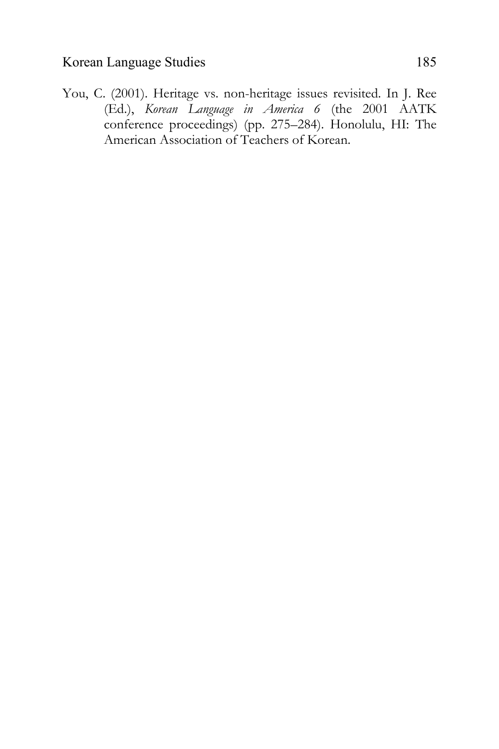You, C. (2001). Heritage vs. non-heritage issues revisited. In J. Ree (Ed.), *Korean Language in America 6* (the 2001 AATK conference proceedings) (pp. 275–284). Honolulu, HI: The American Association of Teachers of Korean.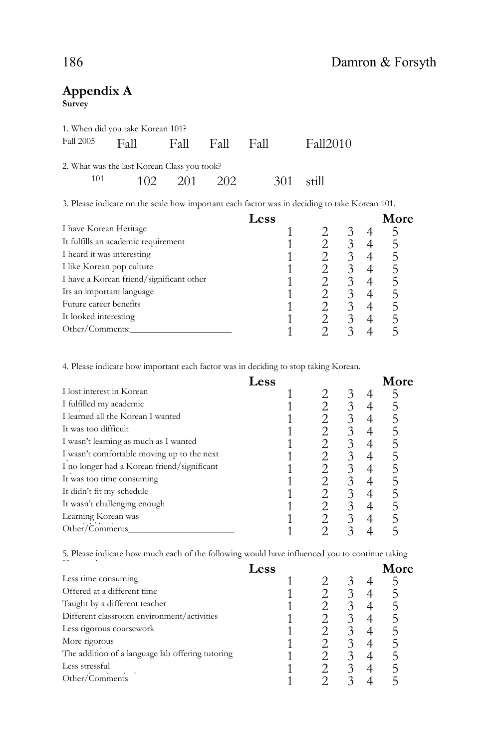# **Appendix A**

**Survey**

|     | 1. When did you take Korean 101?            |             |             |                                                                                                                |
|-----|---------------------------------------------|-------------|-------------|----------------------------------------------------------------------------------------------------------------|
|     | Fall 2005 Fall Fall Fall Fall               |             |             | Fall2010                                                                                                       |
|     | 2. What was the last Korean Class you took? |             |             |                                                                                                                |
| 101 |                                             | 102 201 202 | $301$ still |                                                                                                                |
|     |                                             |             |             | א של היוויר ביתר היוויר בין היוויר היוויר היוויר היוויר היוויר היוויר היוויר היוויר היוויר היוויר היוויר היווי |

3. Please indicate on the scale how important each factor was in deciding to take Korean 101.

|                                          | <b>Less</b> |   | More |
|------------------------------------------|-------------|---|------|
| I have Korean Heritage                   |             |   |      |
| It fulfills an academic requirement      |             |   | 5    |
| I heard it was interesting               |             |   | 5    |
| I like Korean pop culture                |             |   | 5    |
| I have a Korean friend/significant other |             |   | 5    |
| Its an important language                |             |   |      |
| Future career benefits                   |             | 3 | ר    |
| It looked interesting                    |             |   | 5    |
| Other/Comments:                          |             |   |      |

4. Please indicate how important each factor was in deciding to stop taking Korean.

|                                             | Less |   | More |
|---------------------------------------------|------|---|------|
| I lost interest in Korean                   |      |   |      |
| I fulfilled my academic                     |      | 3 | 5    |
| I learned all the Korean I wanted           |      | 3 | 5    |
| It was too difficult                        |      | 3 | 5    |
| I wasn't learning as much as I wanted       |      | 3 | 5    |
| I wasn't comfortable moving up to the next  |      |   | 5    |
| I no longer had a Korean friend/significant |      |   | 5    |
| It was too time consuming                   |      | 3 |      |
| It didn't fit my schedule                   |      | 3 |      |
| It wasn't challenging enough                |      |   | 5    |
| Learning Korean was                         |      |   | 5    |
| Other/Comments                              |      |   |      |

5. Please indicate how much each of the following would have influenced you to continue taking

|                                                  | Less |   | More |
|--------------------------------------------------|------|---|------|
| Less time consuming                              |      |   |      |
| Offered at a different time                      |      |   | 5    |
| Taught by a different teacher                    |      |   |      |
| Different classroom environment/activities       |      |   |      |
| Less rigorous coursework                         |      |   |      |
| More rigorous                                    |      |   |      |
| The addition of a language lab offering tutoring |      | 3 | ר    |
| Less stressful                                   |      |   | ר    |
| Other/Comments                                   |      |   |      |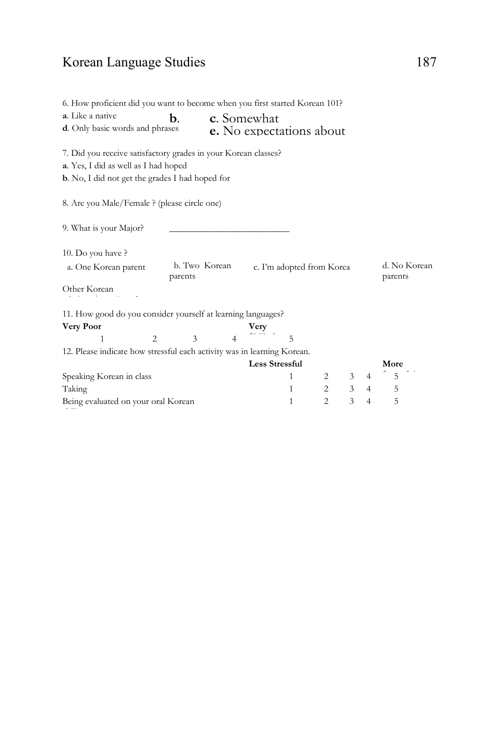# Korean Language Studies 187

| 6. How proficient did you want to become when you first started Korean 101?<br>a. Like a native<br>d. Only basic words and phrases | b. |                          |                | c. Somewhat           | <b>e.</b> No expectations about |                |                |                |                         |
|------------------------------------------------------------------------------------------------------------------------------------|----|--------------------------|----------------|-----------------------|---------------------------------|----------------|----------------|----------------|-------------------------|
| 7. Did you receive satisfactory grades in your Korean classes?                                                                     |    |                          |                |                       |                                 |                |                |                |                         |
| a. Yes, I did as well as I had hoped                                                                                               |    |                          |                |                       |                                 |                |                |                |                         |
| <b>b.</b> No, I did not get the grades I had hoped for                                                                             |    |                          |                |                       |                                 |                |                |                |                         |
| 8. Are you Male/Female ? (please circle one)                                                                                       |    |                          |                |                       |                                 |                |                |                |                         |
| 9. What is your Major?                                                                                                             |    |                          |                |                       |                                 |                |                |                |                         |
| 10. Do you have?                                                                                                                   |    |                          |                |                       |                                 |                |                |                |                         |
| a. One Korean parent                                                                                                               |    | b. Two Korean<br>parents |                |                       | c. I'm adopted from Korea       |                |                |                | d. No Korean<br>parents |
| Other Korean                                                                                                                       |    |                          |                |                       |                                 |                |                |                |                         |
| 11. How good do you consider yourself at learning languages?                                                                       |    |                          |                |                       |                                 |                |                |                |                         |
| <b>Very Poor</b>                                                                                                                   |    |                          |                | Very                  |                                 |                |                |                |                         |
| 1                                                                                                                                  | 2  | 3                        | $\overline{4}$ |                       | 5                               |                |                |                |                         |
| 12. Please indicate how stressful each activity was in learning Korean.                                                            |    |                          |                |                       |                                 |                |                |                |                         |
|                                                                                                                                    |    |                          |                | <b>Less Stressful</b> |                                 |                |                |                | More                    |
| Speaking Korean in class                                                                                                           |    |                          |                |                       | 1                               | 2              | 3              | $\overline{4}$ | 5                       |
| Taking                                                                                                                             |    |                          |                |                       | 1                               | 2              | $\overline{3}$ | $\overline{4}$ | 5                       |
|                                                                                                                                    |    |                          |                |                       |                                 | $\mathfrak{D}$ | 3              | $\overline{4}$ | 5                       |